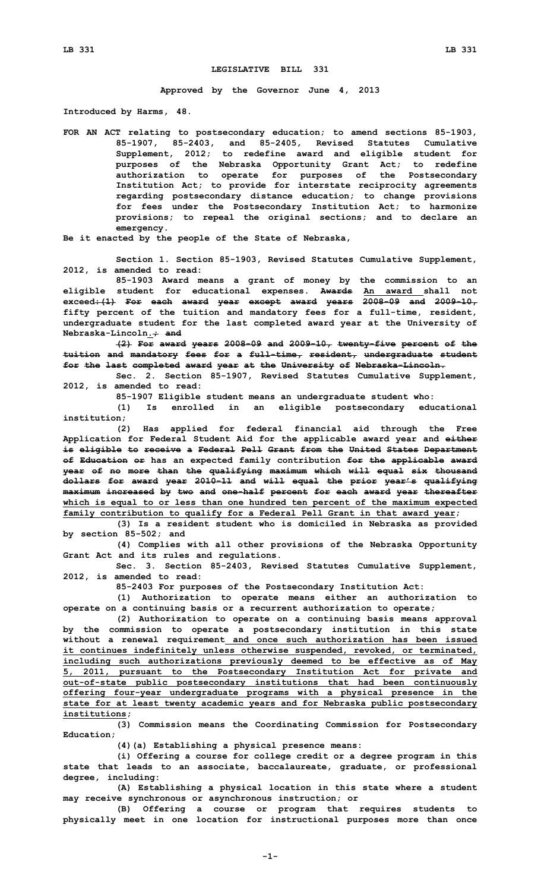## **LEGISLATIVE BILL 331**

**Approved by the Governor June 4, 2013**

**Introduced by Harms, 48.**

**FOR AN ACT relating to postsecondary education; to amend sections 85-1903, 85-1907, 85-2403, and 85-2405, Revised Statutes Cumulative Supplement, 2012; to redefine award and eligible student for purposes of the Nebraska Opportunity Grant Act; to redefine authorization to operate for purposes of the Postsecondary Institution Act; to provide for interstate reciprocity agreements regarding postsecondary distance education; to change provisions for fees under the Postsecondary Institution Act; to harmonize provisions; to repeal the original sections; and to declare an emergency.**

**Be it enacted by the people of the State of Nebraska,**

**Section 1. Section 85-1903, Revised Statutes Cumulative Supplement, 2012, is amended to read:**

**85-1903 Award means <sup>a</sup> grant of money by the commission to an eligible student for educational expenses. Awards An award shall not exceed:(1) For each award year except award years 2008-09 and 2009-10, fifty percent of the tuition and mandatory fees for <sup>a</sup> full-time, resident, undergraduate student for the last completed award year at the University of Nebraska-Lincoln.; and**

**(2) For award years 2008-09 and 2009-10, twenty-five percent of the tuition and mandatory fees for <sup>a</sup> full-time, resident, undergraduate student for the last completed award year at the University of Nebraska-Lincoln.**

**Sec. 2. Section 85-1907, Revised Statutes Cumulative Supplement, 2012, is amended to read:**

**85-1907 Eligible student means an undergraduate student who:**

**(1) Is enrolled in an eligible postsecondary educational institution;**

**(2) Has applied for federal financial aid through the Free Application for Federal Student Aid for the applicable award year and either is eligible to receive <sup>a</sup> Federal Pell Grant from the United States Department of Education or has an expected family contribution for the applicable award year of no more than the qualifying maximum which will equal six thousand dollars for award year 2010-11 and will equal the prior year's qualifying maximum increased by two and one-half percent for each award year thereafter which is equal to or less than one hundred ten percent of the maximum expected family contribution to qualify for <sup>a</sup> Federal Pell Grant in that award year;**

**(3) Is <sup>a</sup> resident student who is domiciled in Nebraska as provided by section 85-502; and**

**(4) Complies with all other provisions of the Nebraska Opportunity Grant Act and its rules and regulations.**

**Sec. 3. Section 85-2403, Revised Statutes Cumulative Supplement, 2012, is amended to read:**

**85-2403 For purposes of the Postsecondary Institution Act:**

**(1) Authorization to operate means either an authorization to operate on <sup>a</sup> continuing basis or <sup>a</sup> recurrent authorization to operate;**

**(2) Authorization to operate on <sup>a</sup> continuing basis means approval by the commission to operate <sup>a</sup> postsecondary institution in this state without <sup>a</sup> renewal requirement and once such authorization has been issued it continues indefinitely unless otherwise suspended, revoked, or terminated, including such authorizations previously deemed to be effective as of May 5, 2011, pursuant to the Postsecondary Institution Act for private and out-of-state public postsecondary institutions that had been continuously offering four-year undergraduate programs with <sup>a</sup> physical presence in the state for at least twenty academic years and for Nebraska public postsecondary institutions;**

**(3) Commission means the Coordinating Commission for Postsecondary Education;**

**(4)(a) Establishing <sup>a</sup> physical presence means:**

**(i) Offering <sup>a</sup> course for college credit or <sup>a</sup> degree program in this state that leads to an associate, baccalaureate, graduate, or professional degree, including:**

**(A) Establishing <sup>a</sup> physical location in this state where <sup>a</sup> student may receive synchronous or asynchronous instruction; or**

**(B) Offering <sup>a</sup> course or program that requires students to physically meet in one location for instructional purposes more than once**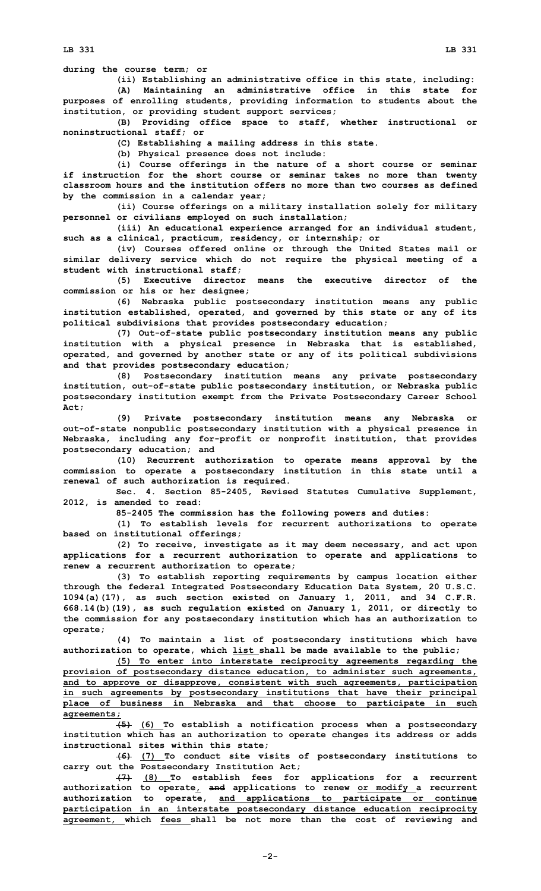**during the course term; or**

**(ii) Establishing an administrative office in this state, including: (A) Maintaining an administrative office in this state for purposes of enrolling students, providing information to students about the institution, or providing student support services;**

**(B) Providing office space to staff, whether instructional or noninstructional staff; or**

**(C) Establishing <sup>a</sup> mailing address in this state.**

**(b) Physical presence does not include:**

**(i) Course offerings in the nature of <sup>a</sup> short course or seminar if instruction for the short course or seminar takes no more than twenty classroom hours and the institution offers no more than two courses as defined by the commission in <sup>a</sup> calendar year;**

**(ii) Course offerings on <sup>a</sup> military installation solely for military personnel or civilians employed on such installation;**

**(iii) An educational experience arranged for an individual student, such as <sup>a</sup> clinical, practicum, residency, or internship; or**

**(iv) Courses offered online or through the United States mail or similar delivery service which do not require the physical meeting of <sup>a</sup> student with instructional staff;**

**(5) Executive director means the executive director of the commission or his or her designee;**

**(6) Nebraska public postsecondary institution means any public institution established, operated, and governed by this state or any of its political subdivisions that provides postsecondary education;**

**(7) Out-of-state public postsecondary institution means any public institution with <sup>a</sup> physical presence in Nebraska that is established, operated, and governed by another state or any of its political subdivisions and that provides postsecondary education;**

**(8) Postsecondary institution means any private postsecondary institution, out-of-state public postsecondary institution, or Nebraska public postsecondary institution exempt from the Private Postsecondary Career School Act;**

**(9) Private postsecondary institution means any Nebraska or out-of-state nonpublic postsecondary institution with <sup>a</sup> physical presence in Nebraska, including any for-profit or nonprofit institution, that provides postsecondary education; and**

**(10) Recurrent authorization to operate means approval by the commission to operate <sup>a</sup> postsecondary institution in this state until <sup>a</sup> renewal of such authorization is required.**

**Sec. 4. Section 85-2405, Revised Statutes Cumulative Supplement, 2012, is amended to read:**

**85-2405 The commission has the following powers and duties:**

**(1) To establish levels for recurrent authorizations to operate based on institutional offerings;**

**(2) To receive, investigate as it may deem necessary, and act upon applications for <sup>a</sup> recurrent authorization to operate and applications to renew <sup>a</sup> recurrent authorization to operate;**

**(3) To establish reporting requirements by campus location either through the federal Integrated Postsecondary Education Data System, 20 U.S.C. 1094(a)(17), as such section existed on January 1, 2011, and 34 C.F.R. 668.14(b)(19), as such regulation existed on January 1, 2011, or directly to the commission for any postsecondary institution which has an authorization to operate;**

**(4) To maintain <sup>a</sup> list of postsecondary institutions which have authorization to operate, which list shall be made available to the public;**

**(5) To enter into interstate reciprocity agreements regarding the provision of postsecondary distance education, to administer such agreements, and to approve or disapprove, consistent with such agreements, participation in such agreements by postsecondary institutions that have their principal place of business in Nebraska and that choose to participate in such agreements;**

**(5) (6) To establish <sup>a</sup> notification process when <sup>a</sup> postsecondary institution which has an authorization to operate changes its address or adds instructional sites within this state;**

**(6) (7) To conduct site visits of postsecondary institutions to carry out the Postsecondary Institution Act;**

**(7) (8) To establish fees for applications for <sup>a</sup> recurrent authorization to operate, and applications to renew or modify <sup>a</sup> recurrent authorization to operate, and applications to participate or continue participation in an interstate postsecondary distance education reciprocity agreement, which fees shall be not more than the cost of reviewing and**